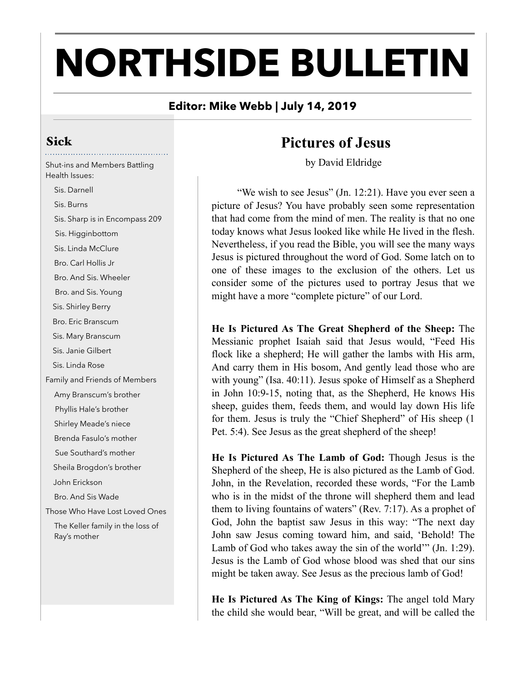# **NORTHSIDE BULLETIN**

#### **Editor: Mike Webb | July 14, 2019**

#### Sick

Shut-ins and Members Battling Health Issues:

 Sis. Darnell Sis. Burns Sis. Sharp is in Encompass 209 Sis. Higginbottom Sis. Linda McClure Bro. Carl Hollis Jr Bro. And Sis. Wheeler Bro. and Sis. Young Sis. Shirley Berry Bro. Eric Branscum Sis. Mary Branscum Sis. Janie Gilbert Sis. Linda Rose Family and Friends of Members Amy Branscum's brother Phyllis Hale's brother Shirley Meade's niece Brenda Fasulo's mother Sue Southard's mother Sheila Brogdon's brother John Erickson Bro. And Sis Wade Those Who Have Lost Loved Ones The Keller family in the loss of Ray's mother

## **Pictures of Jesus**

by David Eldridge

"We wish to see Jesus" (Jn. 12:21). Have you ever seen a picture of Jesus? You have probably seen some representation that had come from the mind of men. The reality is that no one today knows what Jesus looked like while He lived in the flesh. Nevertheless, if you read the Bible, you will see the many ways Jesus is pictured throughout the word of God. Some latch on to one of these images to the exclusion of the others. Let us consider some of the pictures used to portray Jesus that we might have a more "complete picture" of our Lord.

**He Is Pictured As The Great Shepherd of the Sheep:** The Messianic prophet Isaiah said that Jesus would, "Feed His flock like a shepherd; He will gather the lambs with His arm, And carry them in His bosom, And gently lead those who are with young" (Isa. 40:11). Jesus spoke of Himself as a Shepherd in John 10:9-15, noting that, as the Shepherd, He knows His sheep, guides them, feeds them, and would lay down His life for them. Jesus is truly the "Chief Shepherd" of His sheep (1 Pet. 5:4). See Jesus as the great shepherd of the sheep!

**He Is Pictured As The Lamb of God:** Though Jesus is the Shepherd of the sheep, He is also pictured as the Lamb of God. John, in the Revelation, recorded these words, "For the Lamb who is in the midst of the throne will shepherd them and lead them to living fountains of waters" (Rev. 7:17). As a prophet of God, John the baptist saw Jesus in this way: "The next day John saw Jesus coming toward him, and said, 'Behold! The Lamb of God who takes away the sin of the world'" (Jn. 1:29). Jesus is the Lamb of God whose blood was shed that our sins might be taken away. See Jesus as the precious lamb of God!

**He Is Pictured As The King of Kings:** The angel told Mary the child she would bear, "Will be great, and will be called the